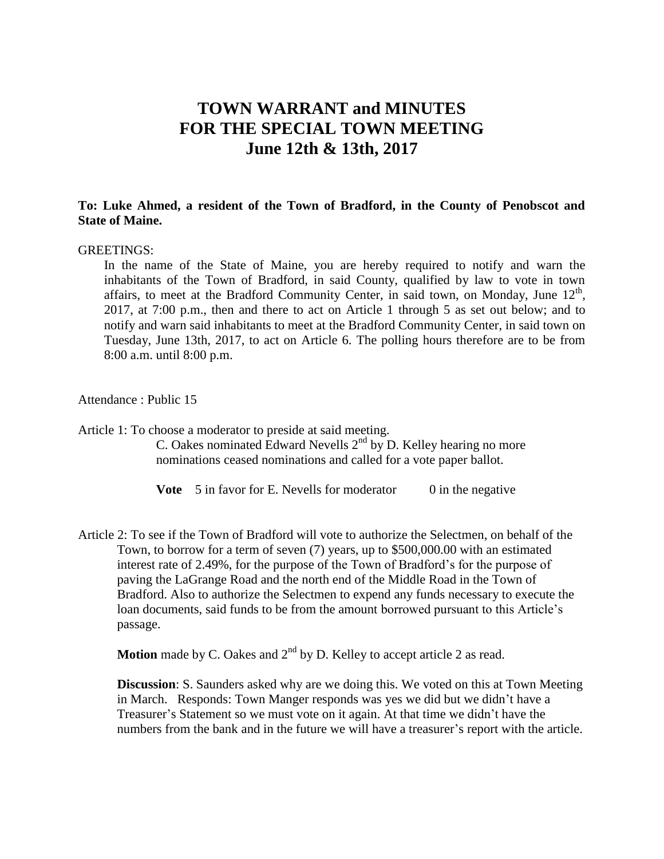# **TOWN WARRANT and MINUTES FOR THE SPECIAL TOWN MEETING June 12th & 13th, 2017**

## **To: Luke Ahmed, a resident of the Town of Bradford, in the County of Penobscot and State of Maine.**

#### GREETINGS:

In the name of the State of Maine, you are hereby required to notify and warn the inhabitants of the Town of Bradford, in said County, qualified by law to vote in town affairs, to meet at the Bradford Community Center, in said town, on Monday, June  $12<sup>th</sup>$ , 2017, at 7:00 p.m., then and there to act on Article 1 through 5 as set out below; and to notify and warn said inhabitants to meet at the Bradford Community Center, in said town on Tuesday, June 13th, 2017, to act on Article 6. The polling hours therefore are to be from 8:00 a.m. until 8:00 p.m.

Attendance : Public 15

Article 1: To choose a moderator to preside at said meeting. C. Oakes nominated Edward Nevells  $2^{nd}$  by D. Kelley hearing no more

nominations ceased nominations and called for a vote paper ballot.

**Vote** 5 in favor for E. Nevells for moderator 0 in the negative

Article 2: To see if the Town of Bradford will vote to authorize the Selectmen, on behalf of the Town, to borrow for a term of seven (7) years, up to \$500,000.00 with an estimated interest rate of 2.49%, for the purpose of the Town of Bradford's for the purpose of paving the LaGrange Road and the north end of the Middle Road in the Town of Bradford. Also to authorize the Selectmen to expend any funds necessary to execute the loan documents, said funds to be from the amount borrowed pursuant to this Article's passage.

**Motion** made by C. Oakes and  $2<sup>nd</sup>$  by D. Kelley to accept article 2 as read.

**Discussion**: S. Saunders asked why are we doing this. We voted on this at Town Meeting in March. Responds: Town Manger responds was yes we did but we didn't have a Treasurer's Statement so we must vote on it again. At that time we didn't have the numbers from the bank and in the future we will have a treasurer's report with the article.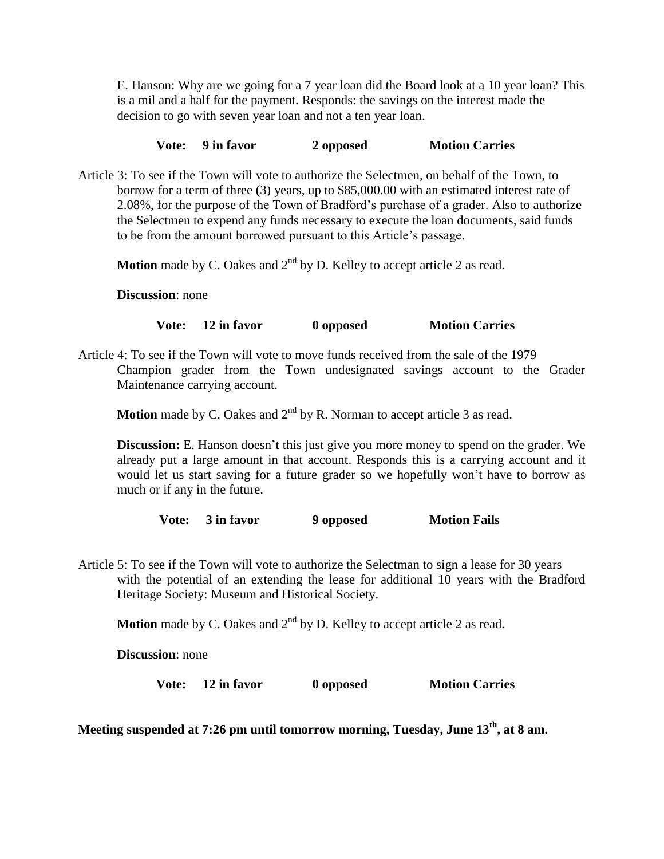E. Hanson: Why are we going for a 7 year loan did the Board look at a 10 year loan? This is a mil and a half for the payment. Responds: the savings on the interest made the decision to go with seven year loan and not a ten year loan.

## **Vote: 9 in favor 2 opposed Motion Carries**

Article 3: To see if the Town will vote to authorize the Selectmen, on behalf of the Town, to borrow for a term of three (3) years, up to \$85,000.00 with an estimated interest rate of 2.08%, for the purpose of the Town of Bradford's purchase of a grader. Also to authorize the Selectmen to expend any funds necessary to execute the loan documents, said funds to be from the amount borrowed pursuant to this Article's passage.

**Motion** made by C. Oakes and  $2<sup>nd</sup>$  by D. Kelley to accept article 2 as read.

**Discussion**: none

Vote: 12 in favor 0 **opposed** Motion Carries

Article 4: To see if the Town will vote to move funds received from the sale of the 1979 Champion grader from the Town undesignated savings account to the Grader Maintenance carrying account.

**Motion** made by C. Oakes and  $2<sup>nd</sup>$  by R. Norman to accept article 3 as read.

**Discussion:** E. Hanson doesn't this just give you more money to spend on the grader. We already put a large amount in that account. Responds this is a carrying account and it would let us start saving for a future grader so we hopefully won't have to borrow as much or if any in the future.

**Vote: 3 in favor 9 opposed Motion Fails**

Article 5: To see if the Town will vote to authorize the Selectman to sign a lease for 30 years with the potential of an extending the lease for additional 10 years with the Bradford Heritage Society: Museum and Historical Society.

**Motion** made by C. Oakes and  $2^{nd}$  by D. Kelley to accept article 2 as read.

**Discussion**: none

Vote: 12 in favor 0 **opposed** Motion Carries

**Meeting suspended at 7:26 pm until tomorrow morning, Tuesday, June 13th, at 8 am.**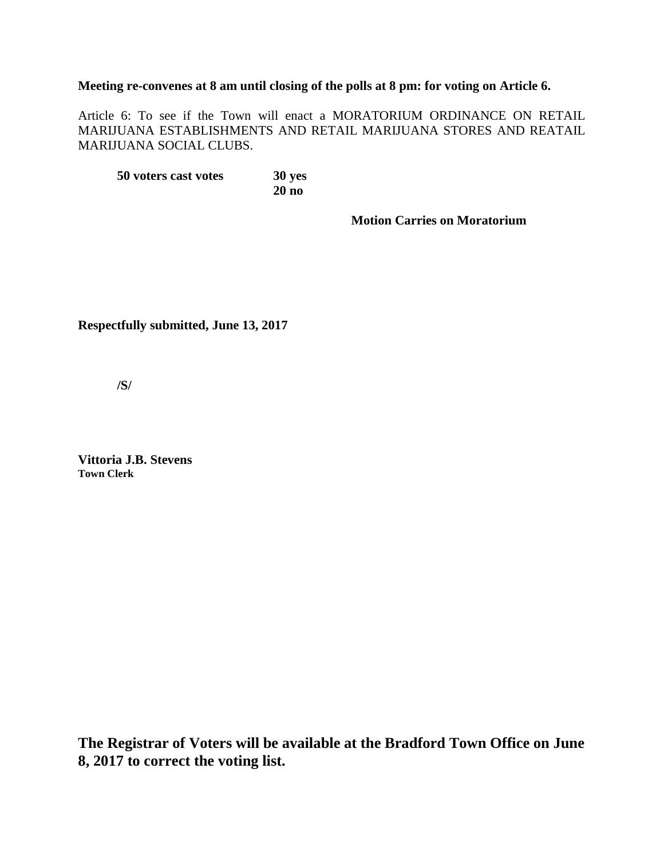**Meeting re-convenes at 8 am until closing of the polls at 8 pm: for voting on Article 6.**

Article 6: To see if the Town will enact a MORATORIUM ORDINANCE ON RETAIL MARIJUANA ESTABLISHMENTS AND RETAIL MARIJUANA STORES AND REATAIL MARIJUANA SOCIAL CLUBS.

**50 voters cast votes 30 yes 20 no**

**Motion Carries on Moratorium**

**Respectfully submitted, June 13, 2017**

**/S/**

**Vittoria J.B. Stevens Town Clerk**

**The Registrar of Voters will be available at the Bradford Town Office on June 8, 2017 to correct the voting list.**